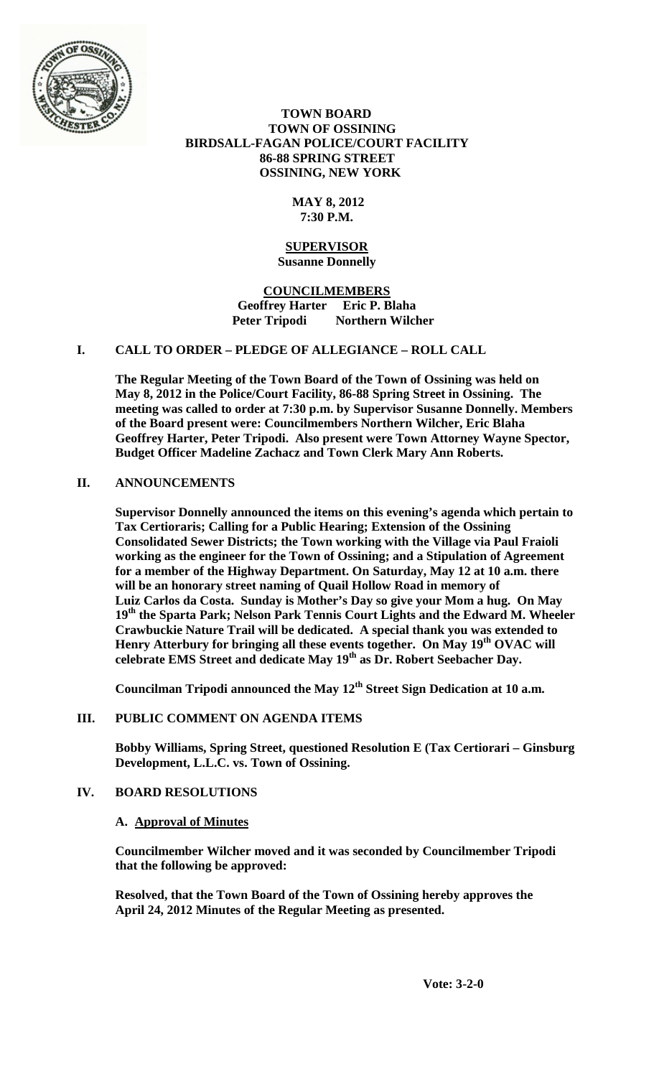

# **TOWN BOARD TOWN OF OSSINING BIRDSALL-FAGAN POLICE/COURT FACILITY 86-88 SPRING STREET OSSINING, NEW YORK**

# **MAY 8, 2012 7:30 P.M.**

## **SUPERVISOR Susanne Donnelly**

**COUNCILMEMBERS Geoffrey Harter Eric P. Blaha Peter Tripodi Northern Wilcher**

# **I. CALL TO ORDER – PLEDGE OF ALLEGIANCE – ROLL CALL**

**The Regular Meeting of the Town Board of the Town of Ossining was held on May 8, 2012 in the Police/Court Facility, 86-88 Spring Street in Ossining. The meeting was called to order at 7:30 p.m. by Supervisor Susanne Donnelly. Members of the Board present were: Councilmembers Northern Wilcher, Eric Blaha Geoffrey Harter, Peter Tripodi. Also present were Town Attorney Wayne Spector, Budget Officer Madeline Zachacz and Town Clerk Mary Ann Roberts.**

# **II. ANNOUNCEMENTS**

**Supervisor Donnelly announced the items on this evening's agenda which pertain to Tax Certioraris; Calling for a Public Hearing; Extension of the Ossining Consolidated Sewer Districts; the Town working with the Village via Paul Fraioli working as the engineer for the Town of Ossining; and a Stipulation of Agreement for a member of the Highway Department. On Saturday, May 12 at 10 a.m. there will be an honorary street naming of Quail Hollow Road in memory of Luiz Carlos da Costa. Sunday is Mother's Day so give your Mom a hug. On May 19th the Sparta Park; Nelson Park Tennis Court Lights and the Edward M. Wheeler Crawbuckie Nature Trail will be dedicated. A special thank you was extended to**  Henry Atterbury for bringing all these events together. On May 19<sup>th</sup> OVAC will **celebrate EMS Street and dedicate May 19th as Dr. Robert Seebacher Day.**

**Councilman Tripodi announced the May 12th Street Sign Dedication at 10 a.m.**

# **III. PUBLIC COMMENT ON AGENDA ITEMS**

**Bobby Williams, Spring Street, questioned Resolution E (Tax Certiorari – Ginsburg Development, L.L.C. vs. Town of Ossining.**

# **IV. BOARD RESOLUTIONS**

### **A. Approval of Minutes**

**Councilmember Wilcher moved and it was seconded by Councilmember Tripodi that the following be approved:**

**Resolved, that the Town Board of the Town of Ossining hereby approves the April 24, 2012 Minutes of the Regular Meeting as presented.**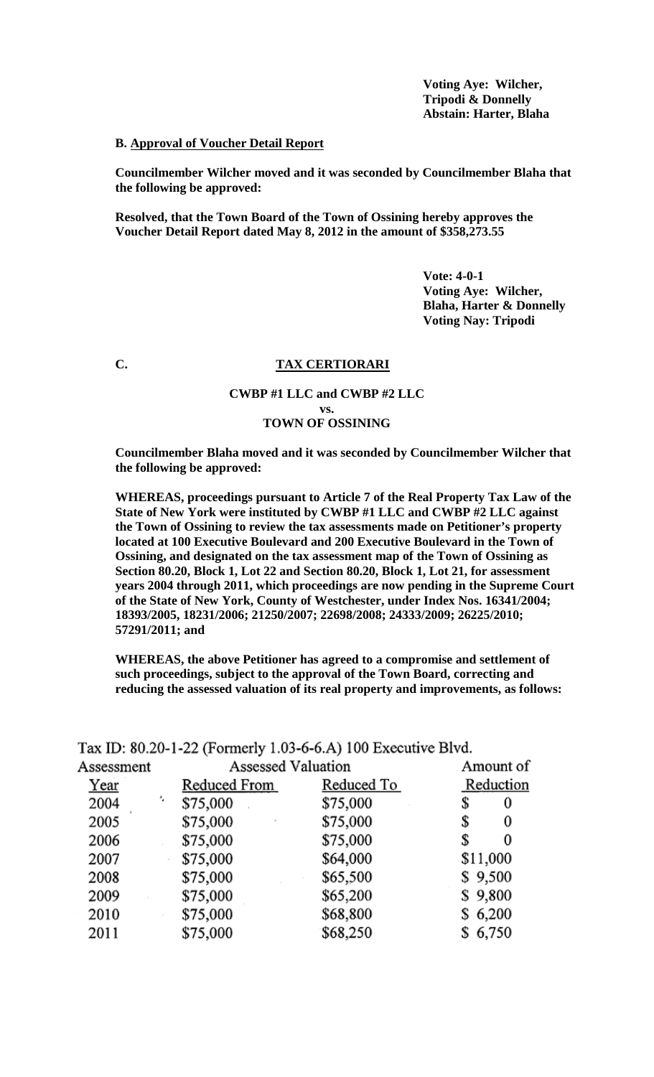**Voting Aye: Wilcher, Tripodi & Donnelly Abstain: Harter, Blaha**

## **B. Approval of Voucher Detail Report**

**Councilmember Wilcher moved and it was seconded by Councilmember Blaha that the following be approved:**

**Resolved, that the Town Board of the Town of Ossining hereby approves the Voucher Detail Report dated May 8, 2012 in the amount of \$358,273.55**

> **Vote: 4-0-1 Voting Aye: Wilcher, Blaha, Harter & Donnelly Voting Nay: Tripodi**

# **C. TAX CERTIORARI**

# **CWBP #1 LLC and CWBP #2 LLC vs. TOWN OF OSSINING**

**Councilmember Blaha moved and it was seconded by Councilmember Wilcher that the following be approved:**

**WHEREAS, proceedings pursuant to Article 7 of the Real Property Tax Law of the State of New York were instituted by CWBP #1 LLC and CWBP #2 LLC against the Town of Ossining to review the tax assessments made on Petitioner's property located at 100 Executive Boulevard and 200 Executive Boulevard in the Town of Ossining, and designated on the tax assessment map of the Town of Ossining as Section 80.20, Block 1, Lot 22 and Section 80.20, Block 1, Lot 21, for assessment years 2004 through 2011, which proceedings are now pending in the Supreme Court of the State of New York, County of Westchester, under Index Nos. 16341/2004; 18393/2005, 18231/2006; 21250/2007; 22698/2008; 24333/2009; 26225/2010; 57291/2011; and** 

**WHEREAS, the above Petitioner has agreed to a compromise and settlement of such proceedings, subject to the approval of the Town Board, correcting and reducing the assessed valuation of its real property and improvements, as follows:** 

| Assessment | Assessed Valuation |            | Amount of |
|------------|--------------------|------------|-----------|
| Year       | Reduced From       | Reduced To | Reduction |
| ٠,<br>2004 | \$75,000           | \$75,000   | \$<br>0   |
| 2005       | \$75,000           | \$75,000   | \$<br>0   |
| 2006       | \$75,000           | \$75,000   | S<br>0    |
| 2007       | \$75,000           | \$64,000   | \$11,000  |
| 2008       | \$75,000           | \$65,500   | \$9,500   |
| 2009       | \$75,000           | \$65,200   | \$9,800   |
| 2010       | \$75,000           | \$68,800   | \$6,200   |
| 2011       | \$75,000           | \$68,250   | 6,750     |
|            |                    |            |           |

Tax ID: 80.20-1-22 (Formerly 1.03-6-6.A) 100 Executive Blvd.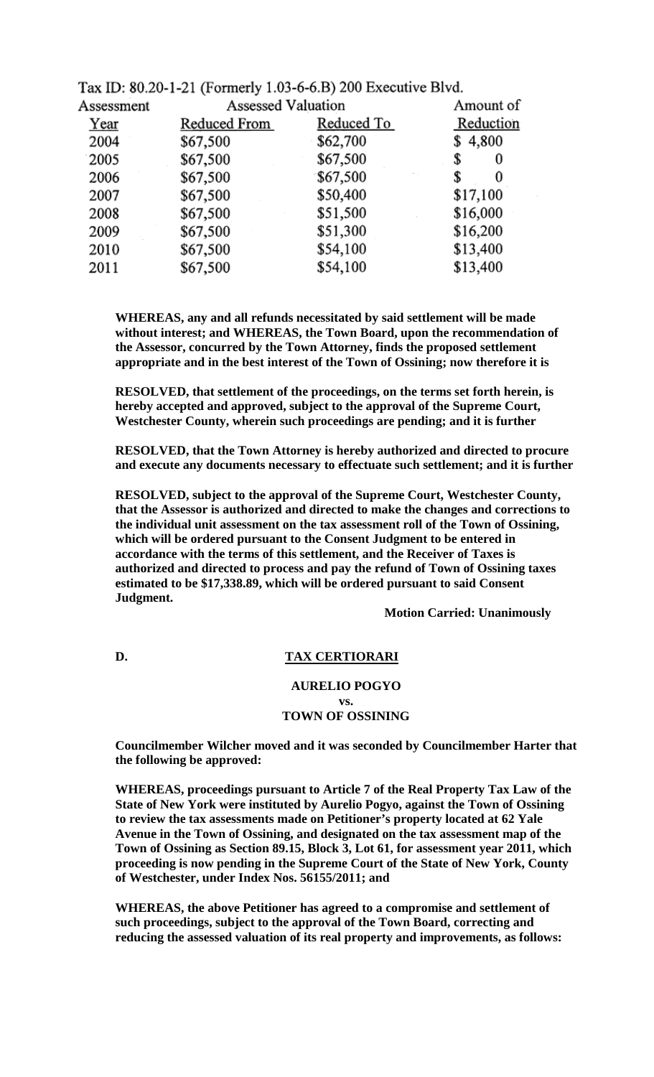| Assessment | <b>Assessed Valuation</b> |            | Amount of |
|------------|---------------------------|------------|-----------|
| Year       | Reduced From              | Reduced To | Reduction |
| 2004       | \$67,500                  | \$62,700   | \$4,800   |
| 2005       | \$67,500                  | \$67,500   | \$<br>0   |
| 2006       | \$67,500                  | \$67,500   | 0<br>\$   |
| 2007       | \$67,500                  | \$50,400   | \$17,100  |
| 2008       | \$67,500                  | \$51,500   | \$16,000  |
| 2009       | \$67,500                  | \$51,300   | \$16,200  |
| 2010       | \$67,500                  | \$54,100   | \$13,400  |
| 2011       | \$67,500                  | \$54,100   | \$13,400  |
|            |                           |            |           |

Tax ID: 80.20-1-21 (Formerly 1.03-6-6.B) 200 Executive Blvd.

**WHEREAS, any and all refunds necessitated by said settlement will be made without interest; and WHEREAS, the Town Board, upon the recommendation of the Assessor, concurred by the Town Attorney, finds the proposed settlement appropriate and in the best interest of the Town of Ossining; now therefore it is** 

**RESOLVED, that settlement of the proceedings, on the terms set forth herein, is hereby accepted and approved, subject to the approval of the Supreme Court, Westchester County, wherein such proceedings are pending; and it is further** 

**RESOLVED, that the Town Attorney is hereby authorized and directed to procure and execute any documents necessary to effectuate such settlement; and it is further** 

**RESOLVED, subject to the approval of the Supreme Court, Westchester County, that the Assessor is authorized and directed to make the changes and corrections to the individual unit assessment on the tax assessment roll of the Town of Ossining, which will be ordered pursuant to the Consent Judgment to be entered in accordance with the terms of this settlement, and the Receiver of Taxes is authorized and directed to process and pay the refund of Town of Ossining taxes estimated to be \$17,338.89, which will be ordered pursuant to said Consent Judgment.**

**Motion Carried: Unanimously**

**D. TAX CERTIORARI**

### **AURELIO POGYO vs. TOWN OF OSSINING**

**Councilmember Wilcher moved and it was seconded by Councilmember Harter that the following be approved:**

**WHEREAS, proceedings pursuant to Article 7 of the Real Property Tax Law of the State of New York were instituted by Aurelio Pogyo, against the Town of Ossining to review the tax assessments made on Petitioner's property located at 62 Yale Avenue in the Town of Ossining, and designated on the tax assessment map of the Town of Ossining as Section 89.15, Block 3, Lot 61, for assessment year 2011, which proceeding is now pending in the Supreme Court of the State of New York, County of Westchester, under Index Nos. 56155/2011; and** 

**WHEREAS, the above Petitioner has agreed to a compromise and settlement of such proceedings, subject to the approval of the Town Board, correcting and reducing the assessed valuation of its real property and improvements, as follows:**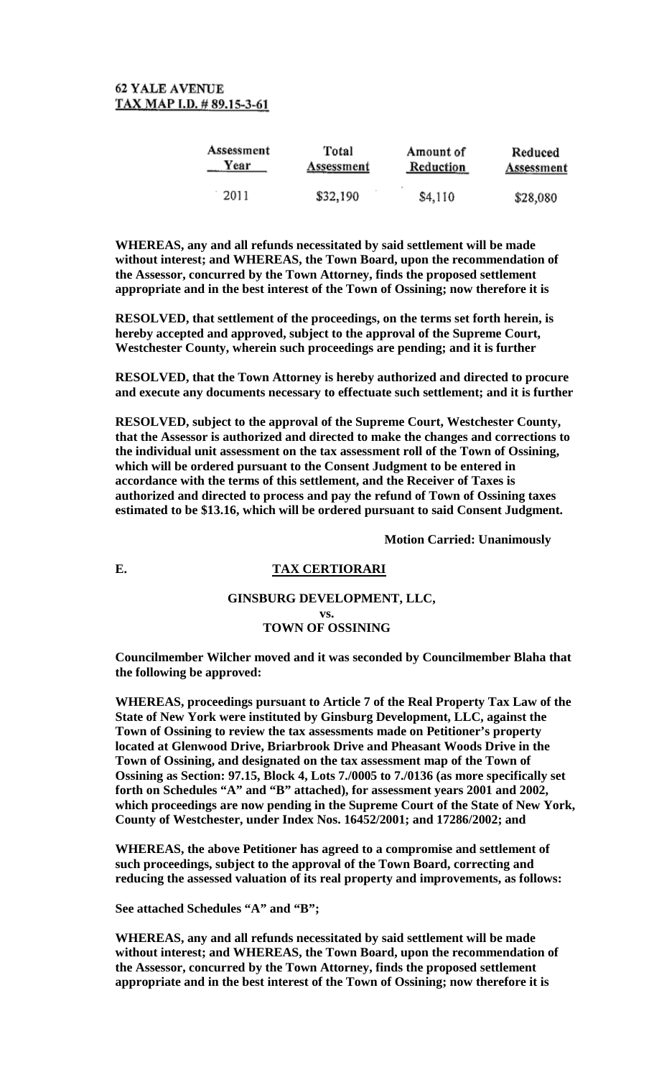| Assessment | Total      | Amount of | Reduced    |
|------------|------------|-----------|------------|
| Year       | Assessment | Reduction | Assessment |
| 2011       | \$32,190   | \$4,110   | \$28,080   |

**WHEREAS, any and all refunds necessitated by said settlement will be made without interest; and WHEREAS, the Town Board, upon the recommendation of the Assessor, concurred by the Town Attorney, finds the proposed settlement appropriate and in the best interest of the Town of Ossining; now therefore it is** 

**RESOLVED, that settlement of the proceedings, on the terms set forth herein, is hereby accepted and approved, subject to the approval of the Supreme Court, Westchester County, wherein such proceedings are pending; and it is further** 

**RESOLVED, that the Town Attorney is hereby authorized and directed to procure and execute any documents necessary to effectuate such settlement; and it is further** 

**RESOLVED, subject to the approval of the Supreme Court, Westchester County, that the Assessor is authorized and directed to make the changes and corrections to the individual unit assessment on the tax assessment roll of the Town of Ossining, which will be ordered pursuant to the Consent Judgment to be entered in accordance with the terms of this settlement, and the Receiver of Taxes is authorized and directed to process and pay the refund of Town of Ossining taxes estimated to be \$13.16, which will be ordered pursuant to said Consent Judgment.**

**Motion Carried: Unanimously**

# **E. TAX CERTIORARI**

#### **GINSBURG DEVELOPMENT, LLC, vs. TOWN OF OSSINING**

# **Councilmember Wilcher moved and it was seconded by Councilmember Blaha that the following be approved:**

**WHEREAS, proceedings pursuant to Article 7 of the Real Property Tax Law of the State of New York were instituted by Ginsburg Development, LLC, against the Town of Ossining to review the tax assessments made on Petitioner's property located at Glenwood Drive, Briarbrook Drive and Pheasant Woods Drive in the Town of Ossining, and designated on the tax assessment map of the Town of Ossining as Section: 97.15, Block 4, Lots 7./0005 to 7./0136 (as more specifically set forth on Schedules "A" and "B" attached), for assessment years 2001 and 2002, which proceedings are now pending in the Supreme Court of the State of New York, County of Westchester, under Index Nos. 16452/2001; and 17286/2002; and** 

**WHEREAS, the above Petitioner has agreed to a compromise and settlement of such proceedings, subject to the approval of the Town Board, correcting and reducing the assessed valuation of its real property and improvements, as follows:** 

**See attached Schedules "A" and "B";**

**WHEREAS, any and all refunds necessitated by said settlement will be made without interest; and WHEREAS, the Town Board, upon the recommendation of the Assessor, concurred by the Town Attorney, finds the proposed settlement appropriate and in the best interest of the Town of Ossining; now therefore it is**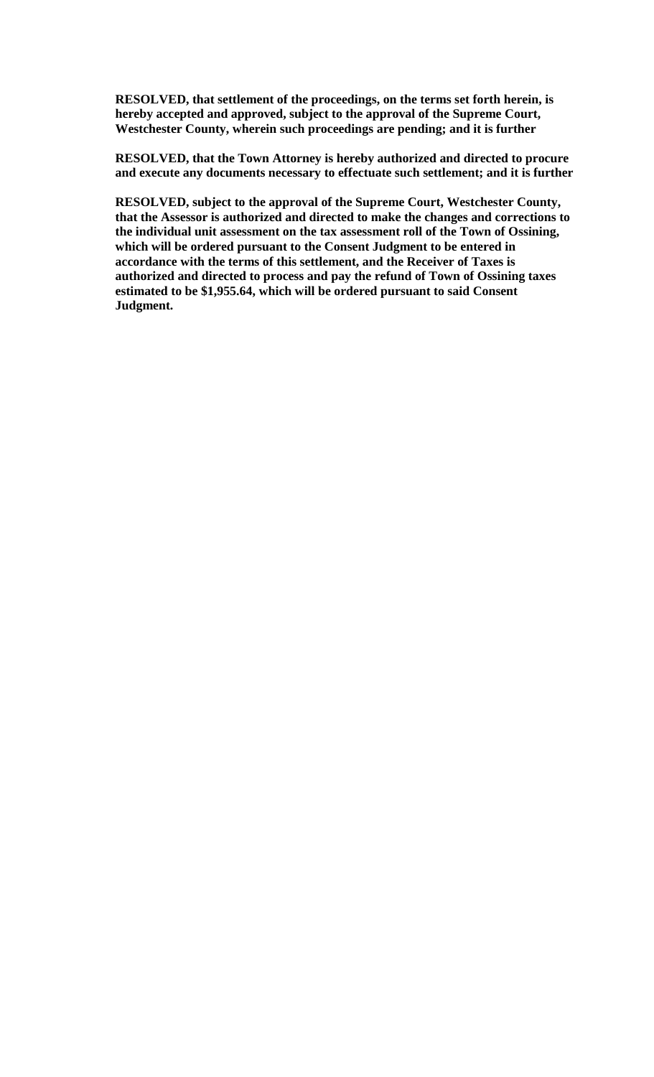**RESOLVED, that settlement of the proceedings, on the terms set forth herein, is hereby accepted and approved, subject to the approval of the Supreme Court, Westchester County, wherein such proceedings are pending; and it is further** 

**RESOLVED, that the Town Attorney is hereby authorized and directed to procure and execute any documents necessary to effectuate such settlement; and it is further** 

**RESOLVED, subject to the approval of the Supreme Court, Westchester County, that the Assessor is authorized and directed to make the changes and corrections to the individual unit assessment on the tax assessment roll of the Town of Ossining, which will be ordered pursuant to the Consent Judgment to be entered in accordance with the terms of this settlement, and the Receiver of Taxes is authorized and directed to process and pay the refund of Town of Ossining taxes estimated to be \$1,955.64, which will be ordered pursuant to said Consent Judgment.**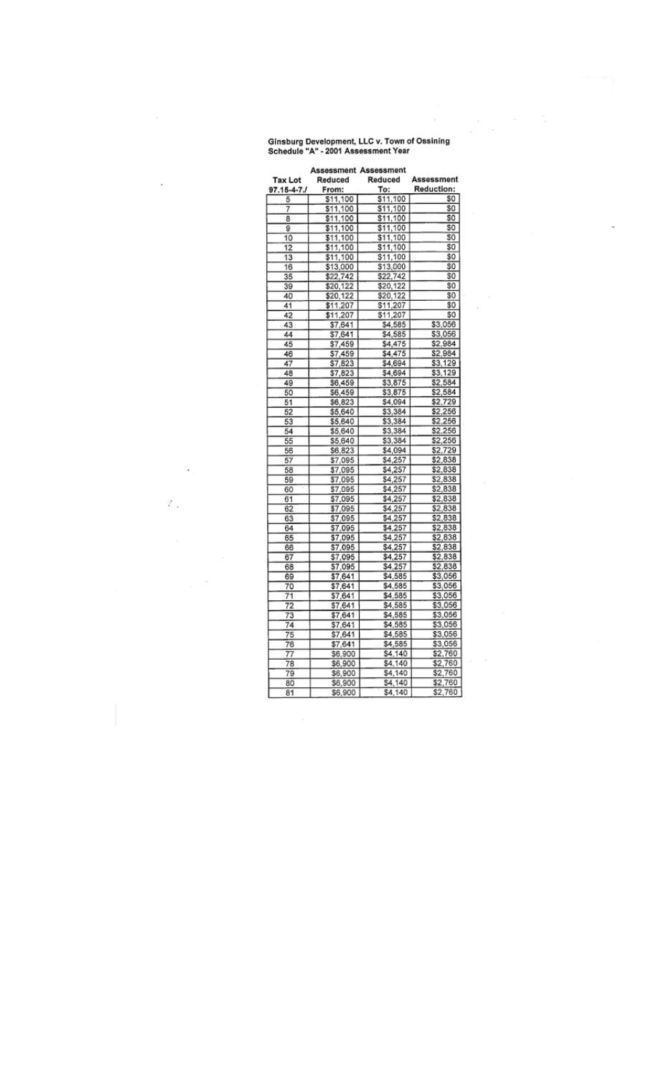# Ginsburg Development, LLC v. Town of Ossining<br>Schedule "A" - 2001 Assessment Year

 $\cdot$ 

ł

 $\cdot$ 

 $\epsilon$ 

 $\tilde{\mathcal{E}}$  ,

 $\frac{1}{2} \sum_{i=1}^n \frac{1}{2} \sum_{j=1}^n \frac{1}{2} \sum_{j=1}^n \frac{1}{2} \sum_{j=1}^n \frac{1}{2} \sum_{j=1}^n \frac{1}{2} \sum_{j=1}^n \frac{1}{2} \sum_{j=1}^n \frac{1}{2} \sum_{j=1}^n \frac{1}{2} \sum_{j=1}^n \frac{1}{2} \sum_{j=1}^n \frac{1}{2} \sum_{j=1}^n \frac{1}{2} \sum_{j=1}^n \frac{1}{2} \sum_{j=1}^n \frac{1}{2} \sum_{j=$ 

i,

 $\epsilon \rightarrow 0$ 

 $\overline{\phantom{a}}$ 

|                      | Assessment Assessment |          |                   |
|----------------------|-----------------------|----------|-------------------|
| Tax Lot              | Reduced               | Reduced  | Assessment        |
| 97.15-4-7 <i>.</i> / | From:                 | To:      | <b>Reduction:</b> |
| 5                    | \$11,100              | \$11,100 | \$O               |
| 7                    | \$11,100              | \$11,100 | S <sub>0</sub>    |
| 8                    | \$11,100              | \$11,100 | SO.               |
| 9                    | \$11,100              | \$11,100 | S0                |
| 10                   | \$11,100              | \$11,100 | SO.               |
| 12                   | \$11,100              | \$11,100 | \$0               |
| 13                   | \$11,100              | \$11,100 | \$0               |
| 16                   | \$13,000              | \$13,000 | \$O               |
| 35                   | \$22,742              | \$22,742 | \$0               |
| 39                   | \$20,122              | \$20,122 | \$0               |
| 40                   | \$20,122              | \$20,122 | \$0               |
| 41                   | \$11,207              | \$11,207 | \$0               |
| 42                   | \$11,207              | \$11,207 | \$0               |
| 43                   | \$7,641               | \$4,585  | \$3,056           |
| 44                   | \$7,641               | \$4,585  | \$3,056           |
| 45                   | \$7,459               | \$4,475  | \$2,984           |
| 46                   | \$7,459               | \$4,475  | \$2,984           |
| 47                   | \$7,823               | \$4,694  | \$3.129           |
| 48                   | \$7,823               | \$4,694  | \$3,129           |
| 49                   | \$6,459               | \$3,875  | \$2,584           |
| 50                   | \$6,459               | \$3,875  | \$2,584           |
| 51                   | \$6,823               | \$4,094  | \$2,729           |
| 52                   | \$5,640               | \$3,384  | \$2,256           |
| 53                   | \$5,640               | \$3,384  | \$2,256           |
| 54                   | \$5,640               | \$3,384  | \$2,256           |
| 55                   | \$5,640               | \$3,384  | \$2,256           |
| 56                   | \$6,823               | \$4,094  | \$2,729           |
| 57                   | \$7,095               | \$4,257  | \$2.838           |
| 58                   | \$7,095               | \$4,257  | \$2,838           |
| 59                   | \$7,095               | \$4,257  | \$2,838           |
| 60                   | \$7,095               | \$4,257  | \$2,838           |
| 61                   | \$7,095               | \$4,257  | \$2,838           |
| 62                   | \$7,095               | \$4,257  | \$2,838           |
| 63                   | \$7,095               | \$4,257  | \$2,838           |
| 64                   | \$7,095               | \$4,257  | \$2,838           |
| 65                   | \$7,095               | \$4,257  | \$2,838           |
| 66                   | \$7,095               | \$4,257  | \$2,838           |
| 67                   | \$7,095               | \$4,257  | \$2,838           |
| 68                   | \$7,095               | \$4.257  | \$2,838           |
| 69                   | \$7,641               | \$4,585  | \$3,056           |
| 70                   | \$7,641               | \$4,585  | \$3,056           |
| 71                   | \$7,641               | \$4,585  | \$3,056           |
| 72                   | \$7,641               | \$4,585  | \$3,056           |
| 73                   | \$7,641               | \$4,585  | \$3,056           |
| 74                   | \$7,641               | \$4,585  | \$3,056           |
| 75                   | \$7.641               | \$4,585  | \$3,056           |
| 76                   | \$7,641               | \$4,585  | \$3,056           |
| 77                   | \$6,900               | S4,140   | \$2,760           |
| 78                   | \$6,900               | \$4,140  | \$2,760           |
| 79                   | \$6,900               | \$4,140  | \$2,760           |
| 80                   | \$6,900               | \$4,140  | \$2,760           |
| 81                   | \$6,900               | \$4,140  | \$2,760           |
|                      |                       |          |                   |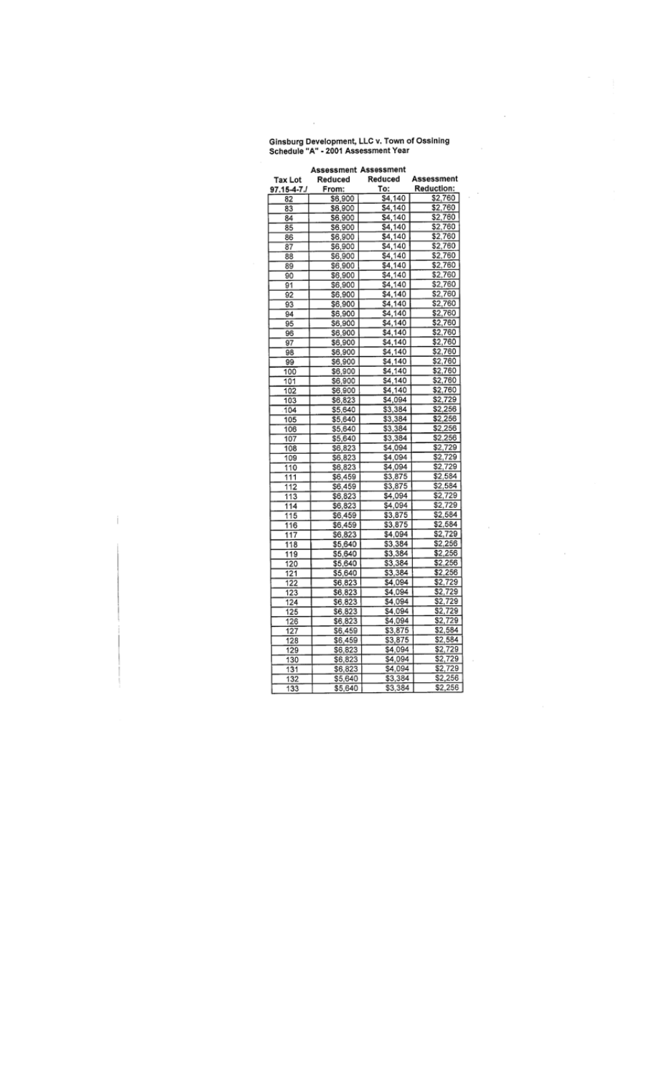Ginsburg Development, LLC v. Town of Ossining<br>Schedule "A" - 2001 Assessment Year

 $\epsilon$ 

 $\overline{\phantom{a}}$ 

 $\overline{\phantom{a}}$ 

|                      | <b>Assessment Assessment</b> |         |            |
|----------------------|------------------------------|---------|------------|
| <b>Tax Lot</b>       | Reduced                      | Reduced | Assessment |
| 97.15-4-7 <i>.</i> 1 | From:                        | To:     | Reduction: |
| 82                   | \$6,900                      | \$4,140 | \$2,760    |
| 83                   | \$6,900                      | \$4,140 | \$2,760    |
| 84                   | \$6,900                      | \$4,140 | \$2,760    |
| 85                   | \$6,900                      | \$4,140 | \$2,760    |
| 86                   | \$6,900                      | \$4,140 | \$2,760    |
| 87                   | \$6,900                      | \$4,140 | \$2,760    |
| 88                   | \$6,900                      | S4,140  | \$2,760    |
| 89                   | \$6,900                      | \$4,140 | \$2,760    |
| 90                   | \$6,900                      | \$4,140 | \$2,760    |
| 91                   | \$6,900                      | \$4,140 | \$2,760    |
| 92                   | \$6,900                      | \$4,140 | \$2,760    |
| 93                   | \$6,900                      | \$4,140 | \$2,760    |
| 94                   | \$6,900                      | \$4,140 | \$2,760    |
| 95                   | \$6,900                      | \$4,140 | \$2,760    |
| 96                   | S6.900                       | \$4,140 | \$2,760    |
| 97                   | \$6,900                      | \$4,140 | \$2,760    |
| 98                   | \$6,900                      | \$4,140 | \$2,760    |
| 99                   | \$6,900                      | \$4,140 | \$2,760    |
| 100                  | \$6,900                      | \$4,140 | \$2,760    |
| 101                  | \$6,900                      | \$4,140 | \$2,760    |
| 102                  | \$6,900                      | \$4,140 | \$2,760    |
| 103                  | \$6,823                      | \$4,094 | \$2,729    |
| 104                  | \$5,640                      | \$3,384 | \$2,256    |
| 105                  | \$5,640                      | \$3,384 | \$2,256    |
| 106                  | \$5,640                      | \$3,384 | \$2,256    |
| 107                  | \$5,640                      | \$3,384 | \$2,256    |
| 108                  |                              | \$4,094 | \$2,729    |
|                      | \$6,823                      | \$4,094 | \$2,729    |
| 109                  | \$6,823                      |         | \$2,729    |
| 110                  | \$6,823                      | \$4,094 | \$2,584    |
| 111                  | \$6,459                      | \$3,875 |            |
| 112                  | \$6,459                      | \$3,875 | \$2,584    |
| 113                  | \$6,823                      | \$4,094 | \$2,729    |
| 114                  | \$6,823                      | \$4,094 | \$2,729    |
| 115                  | \$6,459                      | \$3,875 | \$2,584    |
| 116                  | \$6,459                      | \$3,875 | \$2,584    |
| 117                  | \$6,823                      | \$4,094 | \$2,729    |
| 118                  | \$5,640                      | \$3,384 | \$2,256    |
| 119                  | \$5,640                      | \$3,384 | \$2,256    |
| 120                  | \$5,640                      | \$3,384 | \$2,256    |
| 121                  | \$5,640                      | \$3,384 | \$2,256    |
| 122                  | \$6,823                      | \$4,094 | \$2,729    |
| 123                  | \$6,823                      | \$4,094 | \$2,729    |
| 124                  | \$6,823                      | \$4,094 | \$2,729    |
| 125                  | \$6,823                      | \$4.094 | \$2,729    |
| 126                  | \$6,823                      | \$4,094 | \$2,729    |
| 127                  | \$6,459                      | \$3,875 | \$2,584    |
| 128                  | \$6,459                      | \$3,875 | \$2,584    |
| 129                  | \$6,823                      | \$4,094 | \$2,729    |
| 130                  | \$6,823                      | \$4,094 | \$2,729    |
| 131                  | \$6,823                      | \$4,094 | \$2,729    |
| 132                  | \$5,640                      | \$3,384 | \$2,256    |
| 133                  | \$5,640                      | \$3,384 | \$2,256    |

 $\hat{\mathbb{I}}$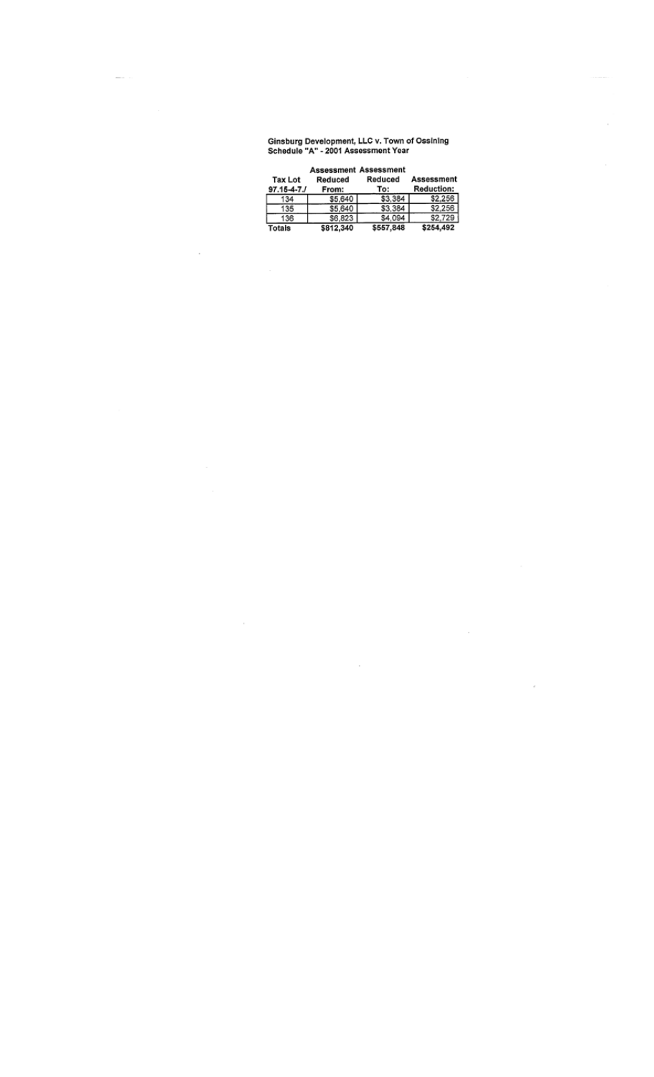# Ginsburg Development, LLC v. Town of Ossining<br>Schedule "A" - 2001 Assessment Year

| <b>Tax Lot</b><br>$97.15 - 4 - 7.1$ | <b>Assessment Assessment</b><br>Reduced<br>From: | Reduced<br>To: | Assessment<br><b>Reduction:</b> |
|-------------------------------------|--------------------------------------------------|----------------|---------------------------------|
| 134                                 | \$5,640                                          | \$3,384        | \$2.256                         |
| 135                                 | \$5,640                                          | \$3.384        | \$2,256                         |
| 136                                 | \$6,823                                          | \$4.094        | \$2,729                         |
|                                     | \$812,340                                        | \$557,848      | \$254,492                       |

 $\overline{\phantom{a}}$ 

 $\overline{\phantom{a}}$ 

 $\epsilon$ 

 $\cdot$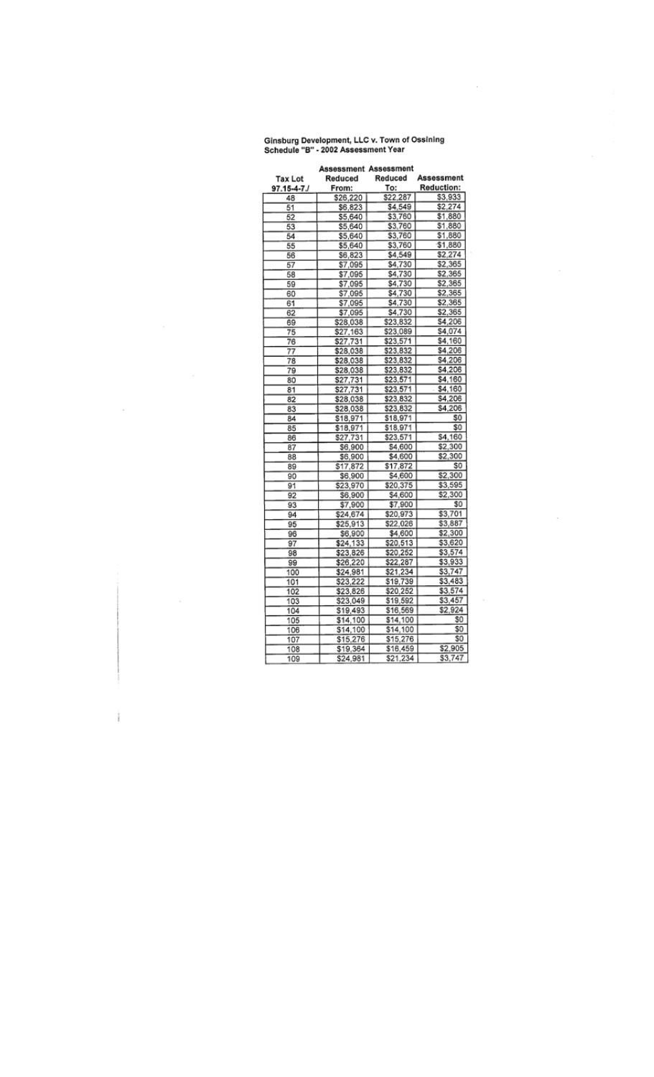# Ginsburg Development, LLC v. Town of Ossining<br>Schedule "B" - 2002 Assessment Year

 $\bar{z}$ 

 $\cdot$ 

| <b>Assessment Assessment</b> |          |          |                   |  |
|------------------------------|----------|----------|-------------------|--|
| Tax Lot                      | Reduced  | Reduced  | Assessment        |  |
| 97.15-4-7./                  | From:    | To:      | <b>Reduction:</b> |  |
| 48                           | \$26,220 | \$22,287 | \$3,933           |  |
| 51                           | \$6,823  | \$4,549  | \$2,274           |  |
| 52                           | \$5,640  | \$3,760  | \$1,880           |  |
| 53                           | \$5,640  | \$3,760  | \$1,880           |  |
| 54                           | \$5,640  | \$3,760  | \$1,880           |  |
| 55                           | \$5,640  | \$3,760  | \$1,880           |  |
| 56                           | \$6,823  | \$4,549  | \$2,274           |  |
| 57                           | \$7,095  | \$4,730  | \$2,365           |  |
| 58                           | \$7,095  | \$4,730  | \$2,365           |  |
| 59                           | \$7,095  | \$4,730  | \$2,365           |  |
| 60                           | \$7,095  | \$4,730  | \$2,365           |  |
| 61                           | \$7,095  | \$4,730  | \$2,365           |  |
| 62                           | \$7,095  | \$4,730  | \$2,365           |  |
| 69                           | \$28,038 | \$23,832 | \$4,206           |  |
| 75                           | \$27,163 | \$23,089 | \$4,074           |  |
| 76                           | \$27,731 | \$23,571 | \$4,160           |  |
| 77                           | \$28,038 | \$23,832 | \$4,206           |  |
| 78                           | \$28,038 | \$23,832 | \$4,206           |  |
| 79                           | \$28,038 | \$23,832 | \$4,206           |  |
| 80                           | \$27,731 | \$23,571 | \$4,160           |  |
| 81                           | \$27,731 | \$23,571 | \$4,160           |  |
| 82                           | \$28,038 | \$23,832 | \$4,206           |  |
| 83                           | \$28,038 | \$23,832 | \$4,206           |  |
| 84                           | \$18,971 | \$18,971 | \$0               |  |
| 85                           | \$18,971 | \$18,971 | \$0               |  |
| 86                           | \$27,731 | \$23,571 | \$4,160           |  |
| 87                           | \$6,900  | \$4,600  | \$2,300           |  |
| 88                           | \$6,900  | \$4,600  | \$2,300           |  |
| 89                           | \$17,872 | \$17,872 | \$0               |  |
| 90                           | \$6,900  | \$4,600  | \$2,300           |  |
| 91                           | \$23,970 | \$20,375 | \$3,595           |  |
| 92                           | \$6,900  | \$4,600  | \$2,300           |  |
| 93                           | \$7,900  | \$7,900  | \$0               |  |
| 94                           | \$24,674 | \$20,973 | \$3,701           |  |
| 95                           | \$25,913 | \$22,026 | \$3,887           |  |
| 96                           | \$6,900  | \$4,600  | \$2,300           |  |
| 97                           | \$24,133 | \$20,513 | \$3,620           |  |
| 98                           | \$23,826 | \$20,252 | \$3,574           |  |
| 99                           | \$26,220 | \$22,287 | \$3,933           |  |
| 100                          | \$24,981 | \$21,234 | \$3,747           |  |
| 101                          | \$23,222 | \$19,739 | \$3,483           |  |
| 102                          | \$23,826 | \$20,252 | \$3,574           |  |
| 103                          | \$23,049 | \$19,592 | \$3,457           |  |
| 104                          | \$19,493 | \$16,569 | \$2,924           |  |
| 105                          | \$14,100 | \$14,100 | \$0               |  |
| 106                          | \$14,100 | \$14,100 | \$O               |  |
| 107                          | \$15,276 | \$15,276 | \$0               |  |
|                              |          | \$16,459 | \$2,905           |  |
| 108                          | \$19,364 |          |                   |  |

 $\bar{z}$ 

ì.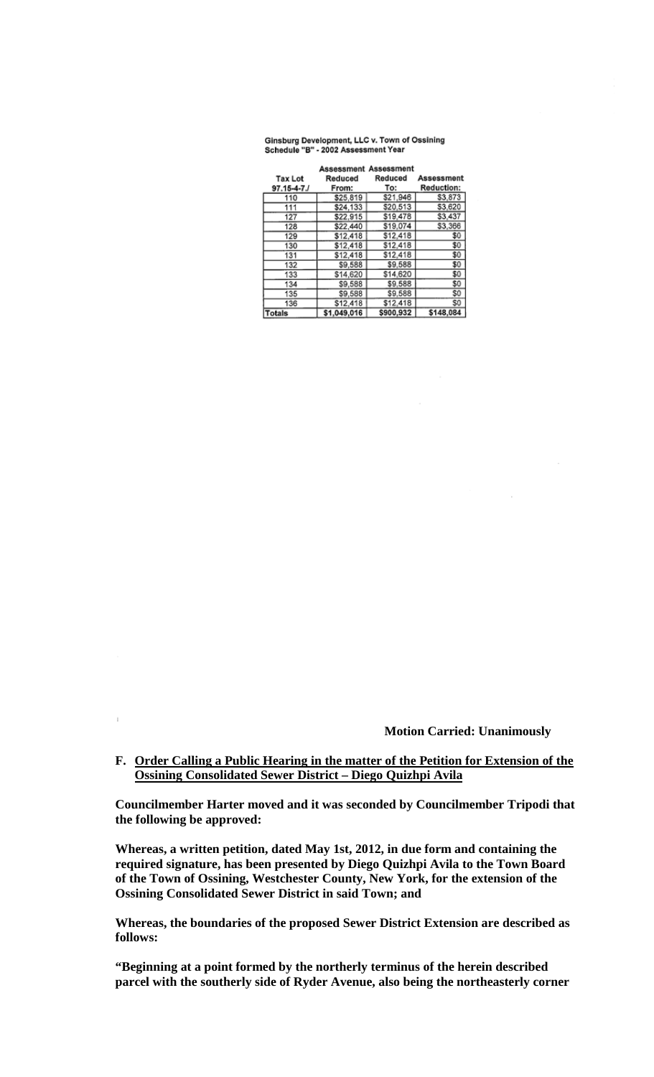#### Ginsburg Development, LLC v. Town of Ossining Schedule "B" - 2002 Assessment Year

| <b>Tax Lot</b>    | Reduced     | <b>Assessment Assessment</b><br>Reduced | Assessment        |
|-------------------|-------------|-----------------------------------------|-------------------|
| $97.15 - 4 - 7.1$ | From:       | To:                                     | <b>Reduction:</b> |
| 110               | \$25,819    | \$21,946                                | \$3,873           |
| 111               | \$24,133    | \$20,513                                | \$3,620           |
| 127               | \$22,915    | \$19,478                                | \$3,437           |
| 128               | \$22,440    | \$19,074                                | \$3,366           |
| 129               | \$12,418    | \$12,418                                | \$0               |
| 130               | \$12,418    | \$12,418                                | \$0               |
| 131               | \$12,418    | \$12,418                                | \$0               |
| 132               | \$9,588     | \$9,588                                 | \$0               |
| 133               | \$14,620    | \$14,620                                | \$0               |
| 134               | \$9,588     | \$9,588                                 | \$0               |
| 135               | \$9,588     | \$9,588                                 | \$0               |
| 136               | \$12,418    | \$12,418                                | S0                |
| Totals            | \$1,049,016 | \$900,932                               | \$148,084         |

**Motion Carried: Unanimously**

# **F. Order Calling a Public Hearing in the matter of the Petition for Extension of the Ossining Consolidated Sewer District – Diego Quizhpi Avila**

 $\bar{1}$ 

**Councilmember Harter moved and it was seconded by Councilmember Tripodi that the following be approved:**

**Whereas, a written petition, dated May 1st, 2012, in due form and containing the required signature, has been presented by Diego Quizhpi Avila to the Town Board of the Town of Ossining, Westchester County, New York, for the extension of the Ossining Consolidated Sewer District in said Town; and** 

**Whereas, the boundaries of the proposed Sewer District Extension are described as follows:** 

**"Beginning at a point formed by the northerly terminus of the herein described parcel with the southerly side of Ryder Avenue, also being the northeasterly corner**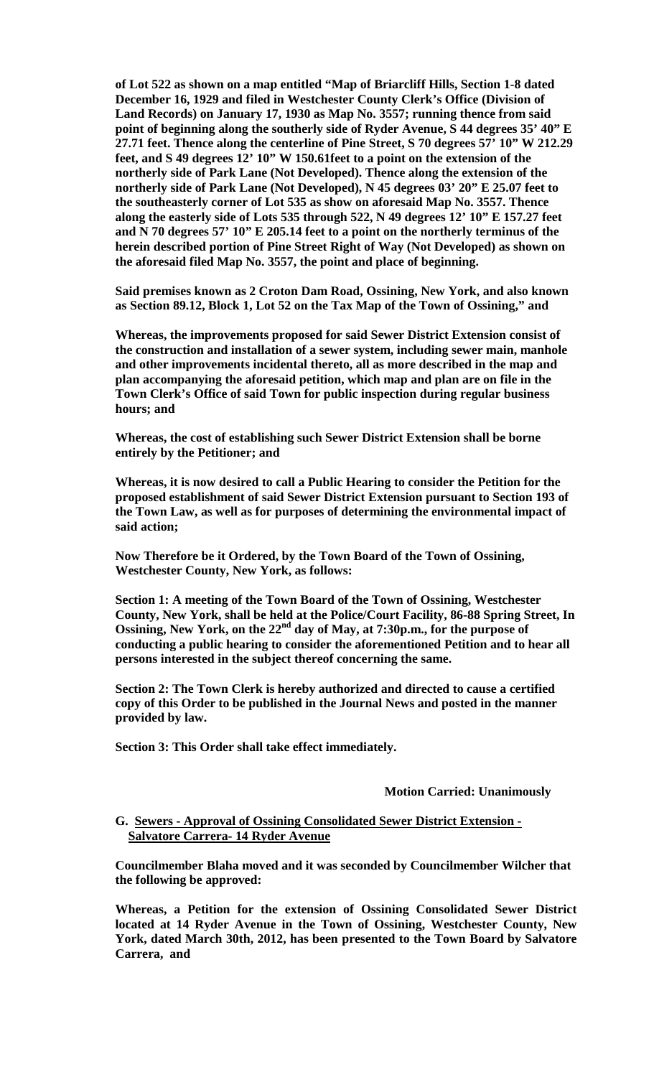**of Lot 522 as shown on a map entitled "Map of Briarcliff Hills, Section 1-8 dated December 16, 1929 and filed in Westchester County Clerk's Office (Division of Land Records) on January 17, 1930 as Map No. 3557; running thence from said point of beginning along the southerly side of Ryder Avenue, S 44 degrees 35' 40" E 27.71 feet. Thence along the centerline of Pine Street, S 70 degrees 57' 10" W 212.29 feet, and S 49 degrees 12' 10" W 150.61feet to a point on the extension of the northerly side of Park Lane (Not Developed). Thence along the extension of the northerly side of Park Lane (Not Developed), N 45 degrees 03' 20" E 25.07 feet to the southeasterly corner of Lot 535 as show on aforesaid Map No. 3557. Thence along the easterly side of Lots 535 through 522, N 49 degrees 12' 10" E 157.27 feet and N 70 degrees 57' 10" E 205.14 feet to a point on the northerly terminus of the herein described portion of Pine Street Right of Way (Not Developed) as shown on the aforesaid filed Map No. 3557, the point and place of beginning.** 

**Said premises known as 2 Croton Dam Road, Ossining, New York, and also known as Section 89.12, Block 1, Lot 52 on the Tax Map of the Town of Ossining," and** 

**Whereas, the improvements proposed for said Sewer District Extension consist of the construction and installation of a sewer system, including sewer main, manhole and other improvements incidental thereto, all as more described in the map and plan accompanying the aforesaid petition, which map and plan are on file in the Town Clerk's Office of said Town for public inspection during regular business hours; and**

**Whereas, the cost of establishing such Sewer District Extension shall be borne entirely by the Petitioner; and** 

**Whereas, it is now desired to call a Public Hearing to consider the Petition for the proposed establishment of said Sewer District Extension pursuant to Section 193 of the Town Law, as well as for purposes of determining the environmental impact of said action;** 

**Now Therefore be it Ordered, by the Town Board of the Town of Ossining, Westchester County, New York, as follows:** 

**Section 1: A meeting of the Town Board of the Town of Ossining, Westchester County, New York, shall be held at the Police/Court Facility, 86-88 Spring Street, In Ossining, New York, on the 22nd day of May, at 7:30p.m., for the purpose of conducting a public hearing to consider the aforementioned Petition and to hear all persons interested in the subject thereof concerning the same.** 

**Section 2: The Town Clerk is hereby authorized and directed to cause a certified copy of this Order to be published in the Journal News and posted in the manner provided by law.**

**Section 3: This Order shall take effect immediately.**

#### **Motion Carried: Unanimously**

## **G. Sewers - Approval of Ossining Consolidated Sewer District Extension - Salvatore Carrera- 14 Ryder Avenue**

**Councilmember Blaha moved and it was seconded by Councilmember Wilcher that the following be approved:**

**Whereas, a Petition for the extension of Ossining Consolidated Sewer District located at 14 Ryder Avenue in the Town of Ossining, Westchester County, New York, dated March 30th, 2012, has been presented to the Town Board by Salvatore Carrera, and**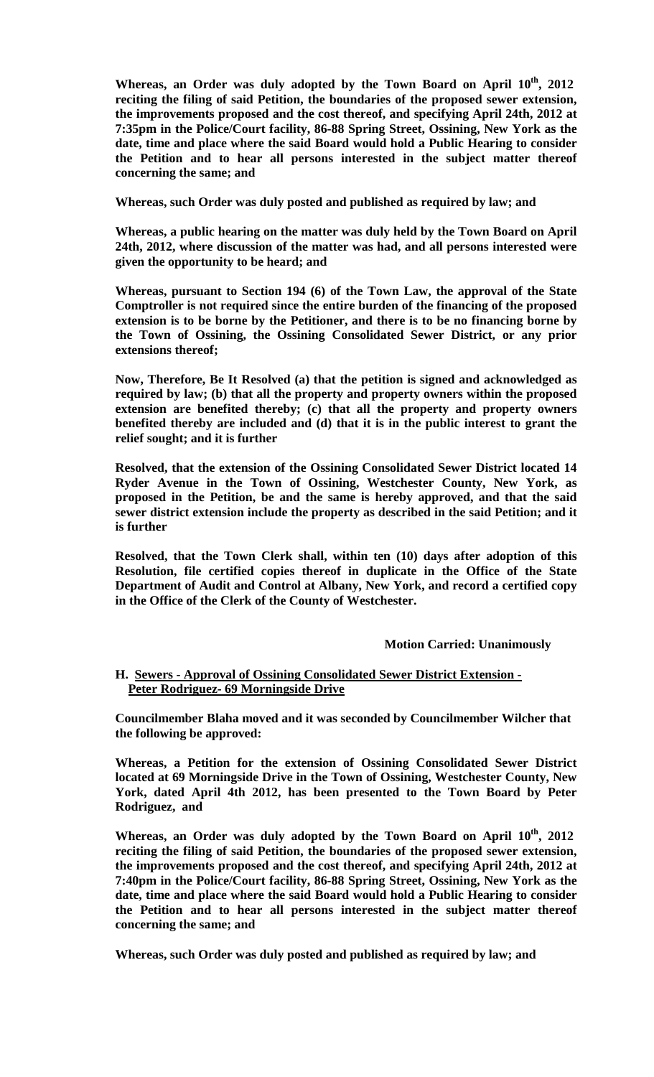**Whereas, an Order was duly adopted by the Town Board on April 10th, 2012 reciting the filing of said Petition, the boundaries of the proposed sewer extension, the improvements proposed and the cost thereof, and specifying April 24th, 2012 at 7:35pm in the Police/Court facility, 86-88 Spring Street, Ossining, New York as the date, time and place where the said Board would hold a Public Hearing to consider the Petition and to hear all persons interested in the subject matter thereof concerning the same; and**

**Whereas, such Order was duly posted and published as required by law; and**

**Whereas, a public hearing on the matter was duly held by the Town Board on April 24th, 2012, where discussion of the matter was had, and all persons interested were given the opportunity to be heard; and**

**Whereas, pursuant to Section 194 (6) of the Town Law, the approval of the State Comptroller is not required since the entire burden of the financing of the proposed extension is to be borne by the Petitioner, and there is to be no financing borne by the Town of Ossining, the Ossining Consolidated Sewer District, or any prior extensions thereof;**

**Now, Therefore, Be It Resolved (a) that the petition is signed and acknowledged as required by law; (b) that all the property and property owners within the proposed extension are benefited thereby; (c) that all the property and property owners benefited thereby are included and (d) that it is in the public interest to grant the relief sought; and it is further** 

**Resolved, that the extension of the Ossining Consolidated Sewer District located 14 Ryder Avenue in the Town of Ossining, Westchester County, New York, as proposed in the Petition, be and the same is hereby approved, and that the said sewer district extension include the property as described in the said Petition; and it is further**

**Resolved, that the Town Clerk shall, within ten (10) days after adoption of this Resolution, file certified copies thereof in duplicate in the Office of the State Department of Audit and Control at Albany, New York, and record a certified copy in the Office of the Clerk of the County of Westchester.**

# **Motion Carried: Unanimously**

# **H. Sewers - Approval of Ossining Consolidated Sewer District Extension - Peter Rodriguez- 69 Morningside Drive**

**Councilmember Blaha moved and it was seconded by Councilmember Wilcher that the following be approved:**

**Whereas, a Petition for the extension of Ossining Consolidated Sewer District located at 69 Morningside Drive in the Town of Ossining, Westchester County, New York, dated April 4th 2012, has been presented to the Town Board by Peter Rodriguez, and**

**Whereas, an Order was duly adopted by the Town Board on April 10th, 2012 reciting the filing of said Petition, the boundaries of the proposed sewer extension, the improvements proposed and the cost thereof, and specifying April 24th, 2012 at 7:40pm in the Police/Court facility, 86-88 Spring Street, Ossining, New York as the date, time and place where the said Board would hold a Public Hearing to consider the Petition and to hear all persons interested in the subject matter thereof concerning the same; and**

**Whereas, such Order was duly posted and published as required by law; and**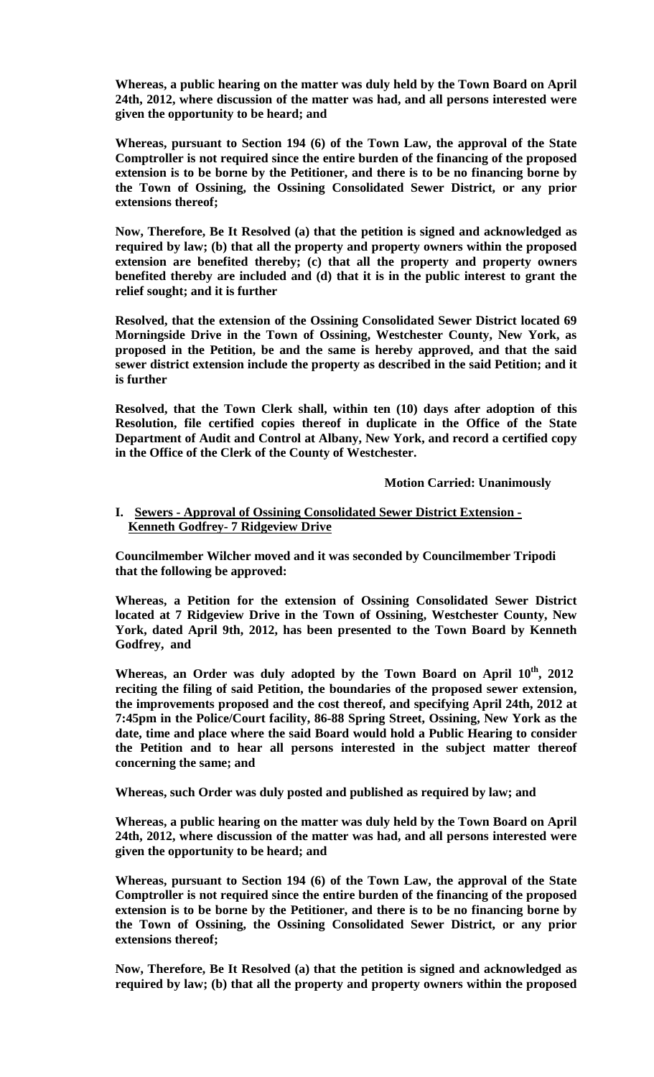**Whereas, a public hearing on the matter was duly held by the Town Board on April 24th, 2012, where discussion of the matter was had, and all persons interested were given the opportunity to be heard; and**

**Whereas, pursuant to Section 194 (6) of the Town Law, the approval of the State Comptroller is not required since the entire burden of the financing of the proposed extension is to be borne by the Petitioner, and there is to be no financing borne by the Town of Ossining, the Ossining Consolidated Sewer District, or any prior extensions thereof;**

**Now, Therefore, Be It Resolved (a) that the petition is signed and acknowledged as required by law; (b) that all the property and property owners within the proposed extension are benefited thereby; (c) that all the property and property owners benefited thereby are included and (d) that it is in the public interest to grant the relief sought; and it is further** 

**Resolved, that the extension of the Ossining Consolidated Sewer District located 69 Morningside Drive in the Town of Ossining, Westchester County, New York, as proposed in the Petition, be and the same is hereby approved, and that the said sewer district extension include the property as described in the said Petition; and it is further**

**Resolved, that the Town Clerk shall, within ten (10) days after adoption of this Resolution, file certified copies thereof in duplicate in the Office of the State Department of Audit and Control at Albany, New York, and record a certified copy in the Office of the Clerk of the County of Westchester.**

**Motion Carried: Unanimously**

# **I. Sewers - Approval of Ossining Consolidated Sewer District Extension - Kenneth Godfrey- 7 Ridgeview Drive**

**Councilmember Wilcher moved and it was seconded by Councilmember Tripodi that the following be approved:**

**Whereas, a Petition for the extension of Ossining Consolidated Sewer District located at 7 Ridgeview Drive in the Town of Ossining, Westchester County, New York, dated April 9th, 2012, has been presented to the Town Board by Kenneth Godfrey, and**

Whereas, an Order was duly adopted by the Town Board on April  $10^{th}$ , 2012 **reciting the filing of said Petition, the boundaries of the proposed sewer extension, the improvements proposed and the cost thereof, and specifying April 24th, 2012 at 7:45pm in the Police/Court facility, 86-88 Spring Street, Ossining, New York as the date, time and place where the said Board would hold a Public Hearing to consider the Petition and to hear all persons interested in the subject matter thereof concerning the same; and**

**Whereas, such Order was duly posted and published as required by law; and**

**Whereas, a public hearing on the matter was duly held by the Town Board on April 24th, 2012, where discussion of the matter was had, and all persons interested were given the opportunity to be heard; and**

**Whereas, pursuant to Section 194 (6) of the Town Law, the approval of the State Comptroller is not required since the entire burden of the financing of the proposed extension is to be borne by the Petitioner, and there is to be no financing borne by the Town of Ossining, the Ossining Consolidated Sewer District, or any prior extensions thereof;**

**Now, Therefore, Be It Resolved (a) that the petition is signed and acknowledged as required by law; (b) that all the property and property owners within the proposed**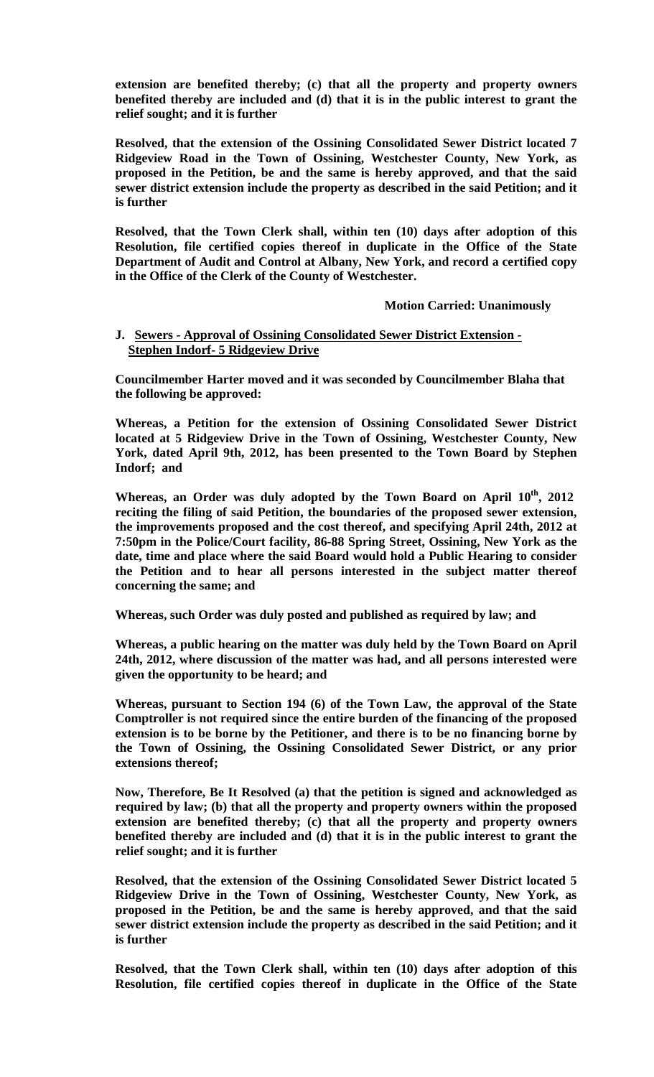**extension are benefited thereby; (c) that all the property and property owners benefited thereby are included and (d) that it is in the public interest to grant the relief sought; and it is further** 

**Resolved, that the extension of the Ossining Consolidated Sewer District located 7 Ridgeview Road in the Town of Ossining, Westchester County, New York, as proposed in the Petition, be and the same is hereby approved, and that the said sewer district extension include the property as described in the said Petition; and it is further**

**Resolved, that the Town Clerk shall, within ten (10) days after adoption of this Resolution, file certified copies thereof in duplicate in the Office of the State Department of Audit and Control at Albany, New York, and record a certified copy in the Office of the Clerk of the County of Westchester.**

### **Motion Carried: Unanimously**

# **J. Sewers - Approval of Ossining Consolidated Sewer District Extension - Stephen Indorf- 5 Ridgeview Drive**

**Councilmember Harter moved and it was seconded by Councilmember Blaha that the following be approved:**

**Whereas, a Petition for the extension of Ossining Consolidated Sewer District located at 5 Ridgeview Drive in the Town of Ossining, Westchester County, New York, dated April 9th, 2012, has been presented to the Town Board by Stephen Indorf; and**

**Whereas, an Order was duly adopted by the Town Board on April 10th, 2012 reciting the filing of said Petition, the boundaries of the proposed sewer extension, the improvements proposed and the cost thereof, and specifying April 24th, 2012 at 7:50pm in the Police/Court facility, 86-88 Spring Street, Ossining, New York as the date, time and place where the said Board would hold a Public Hearing to consider the Petition and to hear all persons interested in the subject matter thereof concerning the same; and**

**Whereas, such Order was duly posted and published as required by law; and**

**Whereas, a public hearing on the matter was duly held by the Town Board on April 24th, 2012, where discussion of the matter was had, and all persons interested were given the opportunity to be heard; and**

**Whereas, pursuant to Section 194 (6) of the Town Law, the approval of the State Comptroller is not required since the entire burden of the financing of the proposed extension is to be borne by the Petitioner, and there is to be no financing borne by the Town of Ossining, the Ossining Consolidated Sewer District, or any prior extensions thereof;**

**Now, Therefore, Be It Resolved (a) that the petition is signed and acknowledged as required by law; (b) that all the property and property owners within the proposed extension are benefited thereby; (c) that all the property and property owners benefited thereby are included and (d) that it is in the public interest to grant the relief sought; and it is further** 

**Resolved, that the extension of the Ossining Consolidated Sewer District located 5 Ridgeview Drive in the Town of Ossining, Westchester County, New York, as proposed in the Petition, be and the same is hereby approved, and that the said sewer district extension include the property as described in the said Petition; and it is further**

**Resolved, that the Town Clerk shall, within ten (10) days after adoption of this Resolution, file certified copies thereof in duplicate in the Office of the State**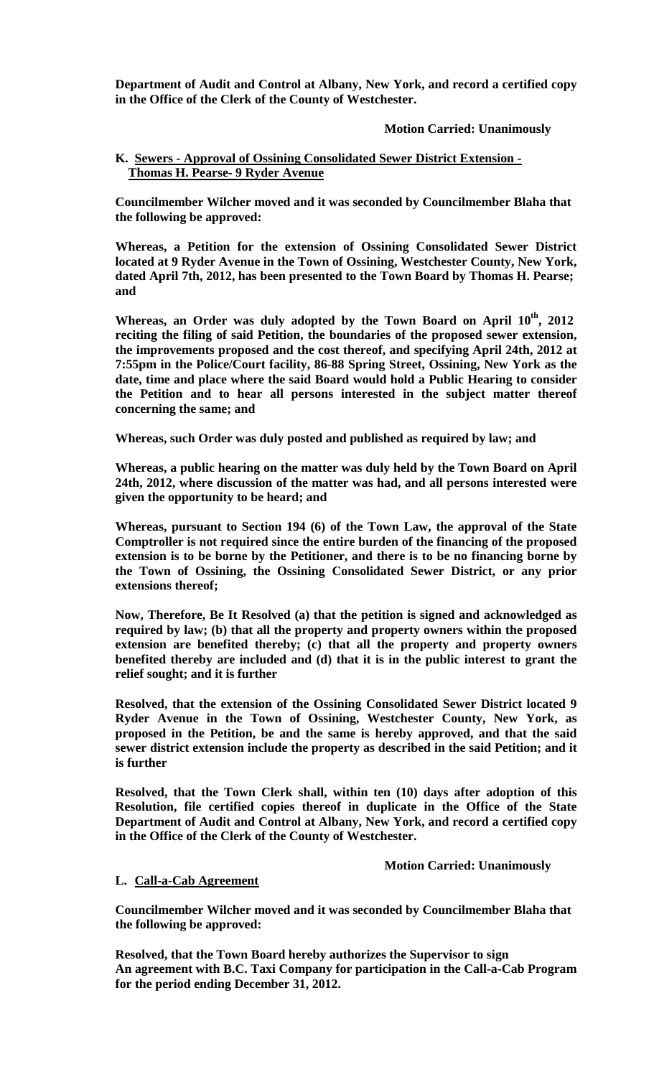**Department of Audit and Control at Albany, New York, and record a certified copy in the Office of the Clerk of the County of Westchester.**

# **Motion Carried: Unanimously**

# **K. Sewers - Approval of Ossining Consolidated Sewer District Extension - Thomas H. Pearse- 9 Ryder Avenue**

**Councilmember Wilcher moved and it was seconded by Councilmember Blaha that the following be approved:**

**Whereas, a Petition for the extension of Ossining Consolidated Sewer District located at 9 Ryder Avenue in the Town of Ossining, Westchester County, New York, dated April 7th, 2012, has been presented to the Town Board by Thomas H. Pearse; and**

Whereas, an Order was duly adopted by the Town Board on April  $10^{th}$ , 2012 **reciting the filing of said Petition, the boundaries of the proposed sewer extension, the improvements proposed and the cost thereof, and specifying April 24th, 2012 at 7:55pm in the Police/Court facility, 86-88 Spring Street, Ossining, New York as the date, time and place where the said Board would hold a Public Hearing to consider the Petition and to hear all persons interested in the subject matter thereof concerning the same; and**

**Whereas, such Order was duly posted and published as required by law; and**

**Whereas, a public hearing on the matter was duly held by the Town Board on April 24th, 2012, where discussion of the matter was had, and all persons interested were given the opportunity to be heard; and**

**Whereas, pursuant to Section 194 (6) of the Town Law, the approval of the State Comptroller is not required since the entire burden of the financing of the proposed extension is to be borne by the Petitioner, and there is to be no financing borne by the Town of Ossining, the Ossining Consolidated Sewer District, or any prior extensions thereof;**

**Now, Therefore, Be It Resolved (a) that the petition is signed and acknowledged as required by law; (b) that all the property and property owners within the proposed extension are benefited thereby; (c) that all the property and property owners benefited thereby are included and (d) that it is in the public interest to grant the relief sought; and it is further** 

**Resolved, that the extension of the Ossining Consolidated Sewer District located 9 Ryder Avenue in the Town of Ossining, Westchester County, New York, as proposed in the Petition, be and the same is hereby approved, and that the said sewer district extension include the property as described in the said Petition; and it is further**

**Resolved, that the Town Clerk shall, within ten (10) days after adoption of this Resolution, file certified copies thereof in duplicate in the Office of the State Department of Audit and Control at Albany, New York, and record a certified copy in the Office of the Clerk of the County of Westchester.**

**Motion Carried: Unanimously**

### **L. Call-a-Cab Agreement**

**Councilmember Wilcher moved and it was seconded by Councilmember Blaha that the following be approved:**

**Resolved, that the Town Board hereby authorizes the Supervisor to sign An agreement with B.C. Taxi Company for participation in the Call-a-Cab Program for the period ending December 31, 2012.**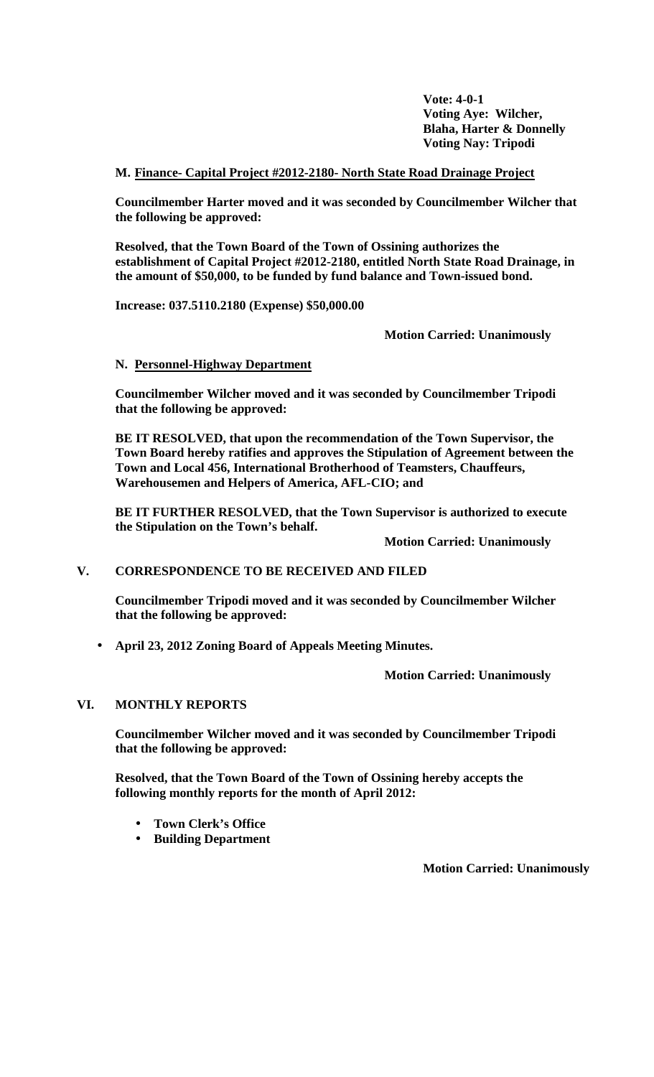**Vote: 4-0-1 Voting Aye: Wilcher, Blaha, Harter & Donnelly Voting Nay: Tripodi**

# **M. Finance- Capital Project #2012-2180- North State Road Drainage Project**

**Councilmember Harter moved and it was seconded by Councilmember Wilcher that the following be approved:**

**Resolved, that the Town Board of the Town of Ossining authorizes the establishment of Capital Project #2012-2180, entitled North State Road Drainage, in the amount of \$50,000, to be funded by fund balance and Town-issued bond.**

**Increase: 037.5110.2180 (Expense) \$50,000.00**

**Motion Carried: Unanimously**

# **N. Personnel-Highway Department**

**Councilmember Wilcher moved and it was seconded by Councilmember Tripodi that the following be approved:**

**BE IT RESOLVED, that upon the recommendation of the Town Supervisor, the Town Board hereby ratifies and approves the Stipulation of Agreement between the Town and Local 456, International Brotherhood of Teamsters, Chauffeurs, Warehousemen and Helpers of America, AFL-CIO; and** 

**BE IT FURTHER RESOLVED, that the Town Supervisor is authorized to execute the Stipulation on the Town's behalf.**

**Motion Carried: Unanimously**

# **V. CORRESPONDENCE TO BE RECEIVED AND FILED**

**Councilmember Tripodi moved and it was seconded by Councilmember Wilcher that the following be approved:**

**April 23, 2012 Zoning Board of Appeals Meeting Minutes.**

**Motion Carried: Unanimously**

# **VI. MONTHLY REPORTS**

**Councilmember Wilcher moved and it was seconded by Councilmember Tripodi that the following be approved:**

**Resolved, that the Town Board of the Town of Ossining hereby accepts the following monthly reports for the month of April 2012:**

- **Town Clerk's Office**
- **Building Department**

**Motion Carried: Unanimously**